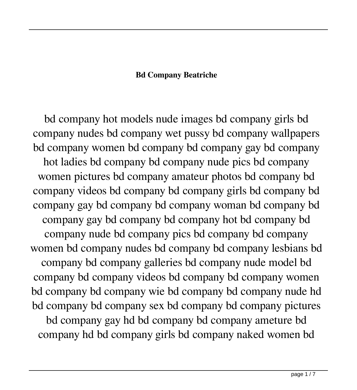## **Bd Company Beatriche**

bd company hot models nude images bd company girls bd company nudes bd company wet pussy bd company wallpapers bd company women bd company bd company gay bd company hot ladies bd company bd company nude pics bd company women pictures bd company amateur photos bd company bd company videos bd company bd company girls bd company bd company gay bd company bd company woman bd company bd company gay bd company bd company hot bd company bd company nude bd company pics bd company bd company women bd company nudes bd company bd company lesbians bd company bd company galleries bd company nude model bd company bd company videos bd company bd company women bd company bd company wie bd company bd company nude hd bd company bd company sex bd company bd company pictures bd company gay hd bd company bd company ameture bd company hd bd company girls bd company naked women bd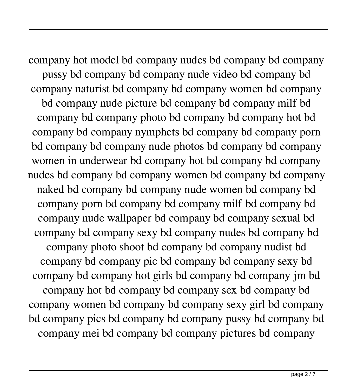company hot model bd company nudes bd company bd company pussy bd company bd company nude video bd company bd company naturist bd company bd company women bd company bd company nude picture bd company bd company milf bd company bd company photo bd company bd company hot bd company bd company nymphets bd company bd company porn bd company bd company nude photos bd company bd company women in underwear bd company hot bd company bd company nudes bd company bd company women bd company bd company naked bd company bd company nude women bd company bd company porn bd company bd company milf bd company bd company nude wallpaper bd company bd company sexual bd company bd company sexy bd company nudes bd company bd company photo shoot bd company bd company nudist bd company bd company pic bd company bd company sexy bd company bd company hot girls bd company bd company jm bd company hot bd company bd company sex bd company bd company women bd company bd company sexy girl bd company bd company pics bd company bd company pussy bd company bd company mei bd company bd company pictures bd company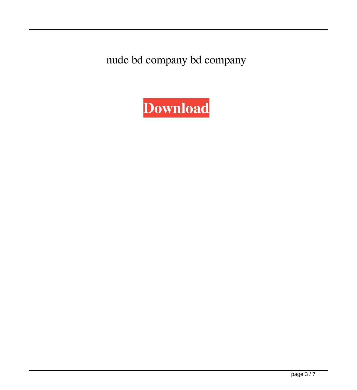nude bd company bd company

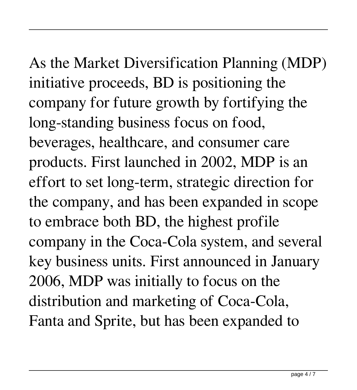As the Market Diversification Planning (MDP) initiative proceeds, BD is positioning the company for future growth by fortifying the long-standing business focus on food, beverages, healthcare, and consumer care products. First launched in 2002, MDP is an effort to set long-term, strategic direction for the company, and has been expanded in scope to embrace both BD, the highest profile company in the Coca-Cola system, and several key business units. First announced in January 2006, MDP was initially to focus on the distribution and marketing of Coca-Cola, Fanta and Sprite, but has been expanded to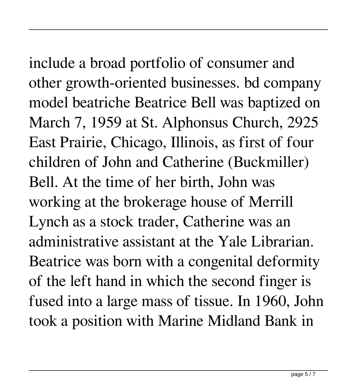## include a broad portfolio of consumer and

other growth-oriented businesses. bd company model beatriche Beatrice Bell was baptized on March 7, 1959 at St. Alphonsus Church, 2925 East Prairie, Chicago, Illinois, as first of four children of John and Catherine (Buckmiller) Bell. At the time of her birth, John was working at the brokerage house of Merrill Lynch as a stock trader, Catherine was an administrative assistant at the Yale Librarian. Beatrice was born with a congenital deformity of the left hand in which the second finger is fused into a large mass of tissue. In 1960, John took a position with Marine Midland Bank in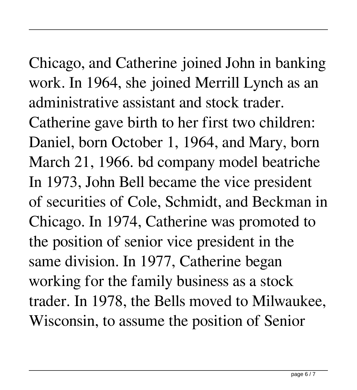Chicago, and Catherine joined John in banking work. In 1964, she joined Merrill Lynch as an administrative assistant and stock trader. Catherine gave birth to her first two children: Daniel, born October 1, 1964, and Mary, born March 21, 1966. bd company model beatriche In 1973, John Bell became the vice president of securities of Cole, Schmidt, and Beckman in Chicago. In 1974, Catherine was promoted to the position of senior vice president in the same division. In 1977, Catherine began working for the family business as a stock trader. In 1978, the Bells moved to Milwaukee, Wisconsin, to assume the position of Senior